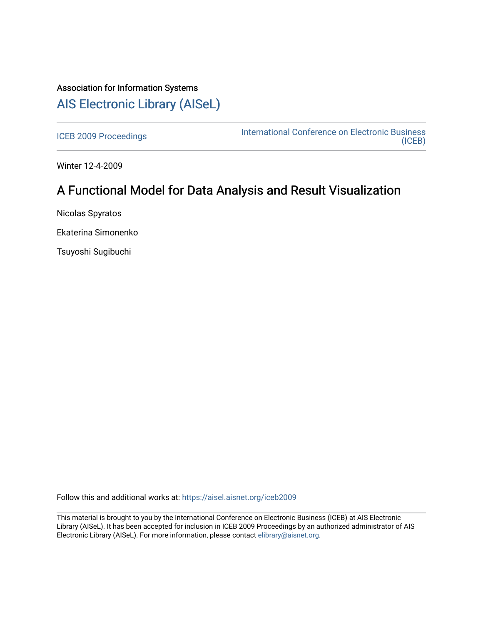# Association for Information Systems [AIS Electronic Library \(AISeL\)](https://aisel.aisnet.org/)

[ICEB 2009 Proceedings](https://aisel.aisnet.org/iceb2009) **International Conference on Electronic Business** [\(ICEB\)](https://aisel.aisnet.org/iceb) 

Winter 12-4-2009

# A Functional Model for Data Analysis and Result Visualization

Nicolas Spyratos

Ekaterina Simonenko

Tsuyoshi Sugibuchi

Follow this and additional works at: [https://aisel.aisnet.org/iceb2009](https://aisel.aisnet.org/iceb2009?utm_source=aisel.aisnet.org%2Ficeb2009%2F12&utm_medium=PDF&utm_campaign=PDFCoverPages)

This material is brought to you by the International Conference on Electronic Business (ICEB) at AIS Electronic Library (AISeL). It has been accepted for inclusion in ICEB 2009 Proceedings by an authorized administrator of AIS Electronic Library (AISeL). For more information, please contact [elibrary@aisnet.org.](mailto:elibrary@aisnet.org%3E)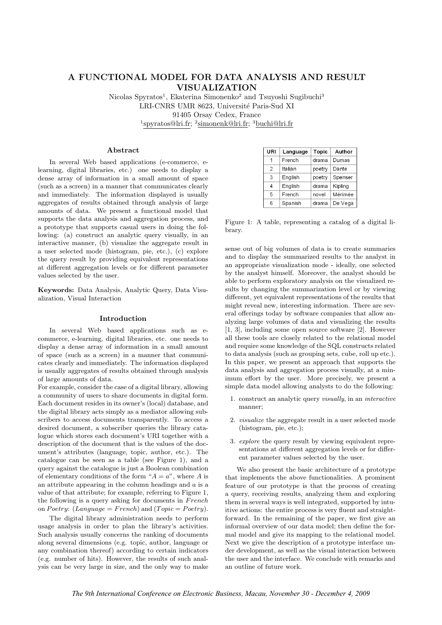# A FUNCTIONAL MODEL FOR DATA ANALYSIS AND RESULT VISUALIZATION

Nicolas Spyratos<sup>1</sup>, Ekaterina Simonenko<sup>2</sup> and Tsuyoshi Sugibuchi<sup>3</sup> LRI-CNRS UMR 8623, Université Paris-Sud XI 91405 Orsay Cedex, France <sup>1</sup>spyratos@lri.fr; <sup>2</sup>simonenk@lri.fr; <sup>3</sup>buchi@lri.fr

# Abstract

In several Web based applications (e-commerce, elearning, digital libraries, etc.) one needs to display a dense array of information in a small amount of space (such as a screen) in a manner that communicates clearly and immediately. The information displayed is usually aggregates of results obtained through analysis of large amounts of data. We present a functional model that supports the data analysis and aggregation process, and a prototype that supports casual users in doing the following: (a) construct an analytic query visually, in an interactive manner, (b) visualize the aggregate result in a user selected mode (histogram, pie, etc.), (c) explore the query result by providing equivalent representations at different aggregation levels or for different parameter values selected by the user.

Keywords: Data Analysis, Analytic Query, Data Visualization, Visual Interaction

# Introduction

In several Web based applications such as ecommerce, e-learning, digital libraries, etc. one needs to display a dense array of information in a small amount of space (such as a screen) in a manner that communicates clearly and immediately. The information displayed is usually aggregates of results obtained through analysis of large amounts of data.

For example, consider the case of a digital library, allowing a community of users to share documents in digital form. Each document resides in its owner's (local) database, and the digital library acts simply as a mediator allowing subscribers to access documents transparently. To access a desired document, a subscriber queries the library catalogue which stores each document's URI together with a description of the document that is the values of the document's attributes (language, topic, author, etc.). The catalogue can be seen as a table (see Figure 1), and a query against the catalogue is just a Boolean combination of elementary conditions of the form " $A = a$ ", where A is an attribute appearing in the column headings and  $a$  is a value of that attribute; for example, referring to Figure 1, the following is a query asking for documents in  $French$ on Poetry: (Language = French) and (Topic = Poetry).

The digital library administration needs to perform usage analysis in order to plan the library's activities. Such analysis usually concerns the ranking of documents along several dimensions (e.g. topic, author, language or any combination thereof) according to certain indicators (e.g. number of hits). However, the results of such analysis can be very large in size, and the only way to make

| URI            | Language | Topic  | Author  |
|----------------|----------|--------|---------|
|                | French   | drama  | Dumas   |
| $\overline{2}$ | Italian  | poetry | Dante   |
| 3              | English  | poetry | Spenser |
| 4              | English  | drama  | Kipling |
| 5              | French   | novel  | Mérimée |
| 6              | Spanish  | drama  | De Vega |

Figure 1: A table, representing a catalog of a digital library.

sense out of big volumes of data is to create summaries and to display the summarized results to the analyst in an appropriate visualization mode - ideally, one selected by the analyst himself. Moreover, the analyst should be able to perform exploratory analysis on the visualized results by changing the summarization level or by viewing different, yet equivalent representations of the results that might reveal new, interesting information. There are several offerings today by software companies that allow analyzing large volumes of data and visualizing the results [1, 3], including some open source software [2]. However all these tools are closely related to the relational model and require some knowledge of the SQL constructs related to data analysis (such as grouping sets, cube, roll up etc.). In this paper, we present an approach that supports the data analysis and aggregation process visually, at a minimum effort by the user. More precisely, we present a simple data model allowing analysts to do the following:

- 1. construct an analytic query visually, in an interactive manner;
- 2. visualize the aggregate result in a user selected mode (histogram, pie, etc.);
- 3. explore the query result by viewing equivalent representations at different aggregation levels or for different parameter values selected by the user.

We also present the basic architecture of a prototype that implements the above functionalities. A prominent feature of our prototype is that the process of creating a query, receiving results, analyzing them and exploring them in several ways is well integrated, supported by intuitive actions: the entire process is very fluent and straightforward. In the remaining of the paper, we first give an informal overview of our data model; then define the formal model and give its mapping to the relational model. Next we give the description of a prototype interface under development, as well as the visual interaction between the user and the interface. We conclude with remarks and an outline of future work.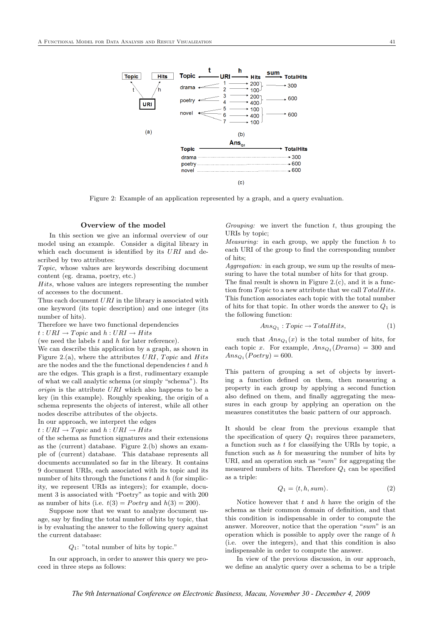

Figure 2: Example of an application represented by a graph, and a query evaluation.

# Overview of the model

In this section we give an informal overview of our model using an example. Consider a digital library in which each document is identified by its URI and described by two attributes:

Topic, whose values are keywords describing document content (eg. drama, poetry, etc.)

Hits, whose values are integers representing the number of accesses to the document.

Thus each document  $URI$  in the library is associated with one keyword (its topic description) and one integer (its number of hits).

Therefore we have two functional dependencies

 $t: URI \rightarrow Topic$  and  $h: URI \rightarrow Hits$ 

(we need the labels  $t$  and  $h$  for later reference).

We can describe this application by a graph, as shown in Figure 2.(a), where the attributes  $URI, \, Topic$  and  $Hits$ are the nodes and the the functional dependencies  $t$  and  $h$ are the edges. This graph is a first, rudimentary example of what we call analytic schema (or simply "schema"). Its origin is the attribute URI which also happens to be a key (in this example). Roughly speaking, the origin of a schema represents the objects of interest, while all other nodes describe attributes of the objects.

In our approach, we interpret the edges

 $t: URI \rightarrow Topic$  and  $h: URI \rightarrow Hits$ 

of the schema as function signatures and their extensions as the (current) database. Figure 2.(b) shows an example of (current) database. This database represents all documents accumulated so far in the library. It contains 9 document URIs, each associated with its topic and its number of hits through the functions  $t$  and  $h$  (for simplicity, we represent URIs as integers); for example, document 3 is associated with "Poetry" as topic and with 200 as number of hits (i.e.  $t(3) = Poetry$  and  $h(3) = 200$ ).

Suppose now that we want to analyze document usage, say by finding the total number of hits by topic, that is by evaluating the answer to the following query against the current database:

#### $Q_1$ : "total number of hits by topic."

In our approach, in order to answer this query we proceed in three steps as follows:

Grouping: we invert the function  $t$ , thus grouping the URIs by topic;

*Measuring:* in each group, we apply the function  $h$  to each URI of the group to find the corresponding number of hits;

Aggregation: in each group, we sum up the results of measuring to have the total number of hits for that group.

The final result is shown in Figure 2.(c), and it is a function from  $Topic$  to a new attribute that we call  $TotalHits$ . This function associates each topic with the total number of hits for that topic. In other words the answer to  $Q_1$  is the following function:

$$
Ans_{Q_1}: Topic \to TotalHits,
$$
 (1)

such that  $Ans_{Q_1}(x)$  is the total number of hits, for each topic x. For example,  $Ans_{Q_1}(Drama) = 300$  and  $Ans_{Q_1}(Poetry) = 600.$ 

This pattern of grouping a set of objects by inverting a function defined on them, then measuring a property in each group by applying a second function also defined on them, and finally aggregating the measures in each group by applying an operation on the measures constitutes the basic pattern of our approach.

It should be clear from the previous example that the specification of query  $Q_1$  requires three parameters, a function such as t for classifying the URIs by topic, a function such as  $h$  for measuring the number of hits by URI, and an operation such as " $sum$ " for aggregating the measured numbers of hits. Therefore  $Q_1$  can be specified as a triple:

$$
Q_1 = \langle t, h, sum \rangle. \tag{2}
$$

Notice however that  $t$  and  $h$  have the origin of the schema as their common domain of definition, and that this condition is indispensable in order to compute the answer. Moreover, notice that the operation "sum" is an operation which is possible to apply over the range of  $h$ (i.e. over the integers), and that this condition is also indispensable in order to compute the answer.

In view of the previous discussion, in our approach, we define an analytic query over a schema to be a triple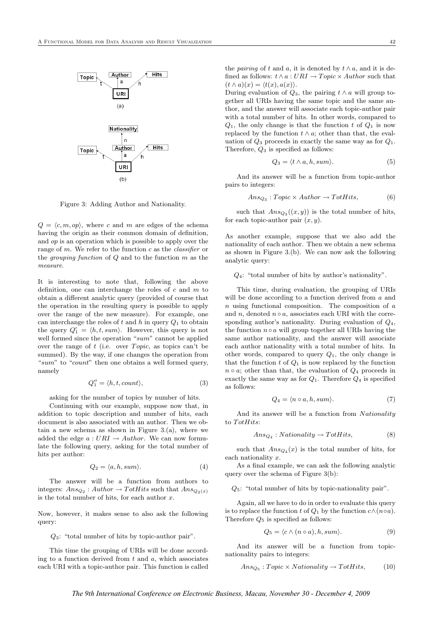

Figure 3: Adding Author and Nationality.

 $Q = \langle c, m, op \rangle$ , where c and m are edges of the schema having the origin as their common domain of definition, and op is an operation which is possible to apply over the range of m. We refer to the function  $c$  as the *classifier* or the *grouping function* of  $Q$  and to the function  $m$  as the measure.

It is interesting to note that, following the above definition, one can interchange the roles of  $c$  and  $m$  to obtain a different analytic query (provided of course that the operation in the resulting query is possible to apply over the range of the new measure). For example, one can interchange the roles of  $t$  and  $h$  in query  $Q_1$  to obtain the query  $Q'_1 = \langle h, t, sum \rangle$ . However, this query is not well formed since the operation "sum" cannot be applied over the range of  $t$  (i.e. over *Topic*, as topics can't be summed). By the way, if one changes the operation from "sum" to "count" then one obtains a well formed query, namely

$$
Q_1'' = \langle h, t, count \rangle,\tag{3}
$$

asking for the number of topics by number of hits.

Continuing with our example, suppose now that, in addition to topic description and number of hits, each document is also associated with an author. Then we obtain a new schema as shown in Figure 3.(a), where we added the edge  $a: URI \rightarrow Author$ . We can now formulate the following query, asking for the total number of hits per author:

$$
Q_2 = \langle a, h, sum \rangle. \tag{4}
$$

The answer will be a function from authors to integers:  $Ans_{Q_2}$ :  $Author \rightarrow TotHits$  such that  $Ans_{Q_2(x)}$ is the total number of hits, for each author  $x$ .

Now, however, it makes sense to also ask the following query:

Q3: "total number of hits by topic-author pair".

This time the grouping of URIs will be done according to a function derived from  $t$  and  $a$ , which associates each URI with a topic-author pair. This function is called

the *pairing* of t and a, it is denoted by  $t \wedge a$ , and it is defined as follows:  $t \wedge a : URI \rightarrow Topic \times Author$  such that  $(t \wedge a)(x) = \langle t(x), a(x) \rangle.$ 

During evaluation of  $Q_3$ , the pairing  $t \wedge a$  will group together all URIs having the same topic and the same author, and the answer will associate each topic-author pair with a total number of hits. In other words, compared to  $Q_1$ , the only change is that the function t of  $Q_1$  is now replaced by the function  $t \wedge a$ ; other than that, the evaluation of  $Q_3$  proceeds in exactly the same way as for  $Q_1$ . Therefore,  $Q_3$  is specified as follows:

$$
Q_3 = \langle t \wedge a, h, sum \rangle. \tag{5}
$$

And its answer will be a function from topic-author pairs to integers:

$$
Ans_{Q_3}: Topic \times Author \rightarrow TotHits,
$$
 (6)

such that  $Ans_{Q_3}((x, y))$  is the total number of hits, for each topic-author pair  $(x, y)$ .

As another example, suppose that we also add the nationality of each author. Then we obtain a new schema as shown in Figure 3.(b). We can now ask the following analytic query:

 $Q_4$ : "total number of hits by author's nationality".

This time, during evaluation, the grouping of URIs will be done according to a function derived from a and  $n$  using functional composition. The composition of  $a$ and n, denoted  $n \circ a$ , associates each URI with the corresponding author's nationality. During evaluation of  $Q_4$ , the function  $n \circ a$  will group together all URIs having the same author nationality, and the answer will associate each author nationality with a total number of hits. In other words, compared to query  $Q_1$ , the only change is that the function  $t$  of  $Q_1$  is now replaced by the function  $n \circ a$ ; other than that, the evaluation of  $Q_4$  proceeds in exactly the same way as for  $Q_1$ . Therefore  $Q_4$  is specified as follows:

$$
Q_4 = \langle n \circ a, h, sum \rangle. \tag{7}
$$

And its answer will be a function from Nationality to TotHits:

$$
Ans_{Q_4}: Nationality \to TotHits,
$$
 (8)

such that  $Ans_{Q_4}(x)$  is the total number of hits, for each nationality x.

As a final example, we can ask the following analytic query over the schema of Figure 3(b):

Q5: "total number of hits by topic-nationality pair".

Again, all we have to do in order to evaluate this query is to replace the function t of  $Q_1$  by the function  $c \wedge (n \circ a)$ . Therefore  $Q_5$  is specified as follows:

$$
Q_5 = \langle c \wedge (n \circ a), h, sum \rangle. \tag{9}
$$

And its answer will be a function from topicnationality pairs to integers:

$$
Ans_{Q_5}: Topic \times Nationality \rightarrow TotHits,
$$
 (10)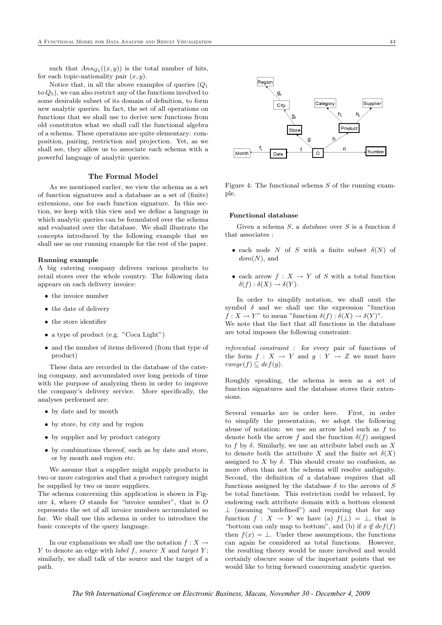such that  $Ans_{Q_5}((x, y))$  is the total number of hits, for each topic-nationality pair  $(x, y)$ .

Notice that, in all the above examples of queries  $(Q_1)$ to  $Q_5$ ), we can also restrict any of the functions involved to some desirable subset of its domain of definition, to form new analytic queries. In fact, the set of all operations on functions that we shall use to derive new functions from old constitutes what we shall call the functional algebra of a schema. These operations are quite elementary: composition, pairing, restriction and projection. Yet, as we shall see, they allow us to associate each schema with a powerful language of analytic queries.

# The Formal Model

As we mentioned earlier, we view the schema as a set of function signatures and a database as a set of (finite) extensions, one for each function signature. In this section, we keep with this view and we define a language in which analytic queries can be formulated over the schema and evaluated over the database. We shall illustrate the concepts introduced by the following example that we shall use as our running example for the rest of the paper.

#### Running example

A big catering company delivers various products to retail stores over the whole country. The following data appears on each delivery invoice:

- the invoice number
- the date of delivery
- the store identifier
- a type of product (e.g. "Coca Light")
- and the number of items delivered (from that type of product)

These data are recorded in the database of the catering company, and accumulated over long periods of time with the purpose of analyzing them in order to improve the company's delivery service. More specifically, the analyses performed are:

- by date and by month
- by store, by city and by region
- by supplier and by product category
- by combinations thereof, such as by date and store, or by month and region etc.

We assume that a supplier might supply products in two or more categories and that a product category might be supplied by two or more suppliers.

The schema concerning this application is shown in Figure 4, where  $O$  stands for "invoice number", that is  $O$ represents the set of all invoice numbers accumulated so far. We shall use this schema in order to introduce the basic concepts of the query language.

In our explanations we shall use the notation  $f: X \to Y$ Y to denote an edge with *label f*, source X and target  $Y$ ; similarly, we shall talk of the source and the target of a path.



Figure 4: The functional schema  $S$  of the running example.

#### Functional database

Given a schema S, a database over S is a function  $\delta$ that associates :

- each node N of S with a finite subset  $\delta(N)$  of  $dom(N)$ , and
- each arrow  $f: X \to Y$  of S with a total function  $\delta(f) : \delta(X) \to \delta(Y).$

In order to simplify notation, we shall omit the symbol  $\delta$  and we shall use the expression "function"  $f: X \to Y$ " to mean "function  $\delta(f): \delta(X) \to \delta(Y)$ ". We note that the fact that all functions in the database are total imposes the following constraint:

referential constraint : for every pair of functions of the form  $f: X \to Y$  and  $g: Y \to Z$  we must have  $range(f) \subseteq def(g).$ 

Roughly speaking, the schema is seen as a set of function signatures and the database stores their extensions.

Several remarks are in order here. First, in order to simplify the presentation, we adopt the following abuse of notation: we use an arrow label such as f to denote both the arrow f and the function  $\delta(f)$  assigned to f by  $\delta$ . Similarly, we use an attribute label such as X to denote both the attribute X and the finite set  $\delta(X)$ assigned to  $X$  by  $\delta$ . This should create no confusion, as more often than not the schema will resolve ambiguity. Second, the definition of a database requires that all functions assigned by the database  $\delta$  to the arrows of S be total functions. This restriction could be relaxed, by endowing each attribute domain with a bottom element ⊥ (meaning "undefined") and requiring that for any function  $f : X \to Y$  we have (a)  $f(\perp) = \perp$ , that is "bottom can only map to bottom", and (b) if  $x \notin def(f)$ then  $f(x) = \perp$ . Under these assumptions, the functions can again be considered as total functions. However, the resulting theory would be more involved and would certainly obscure some of the important points that we would like to bring forward concerning analytic queries.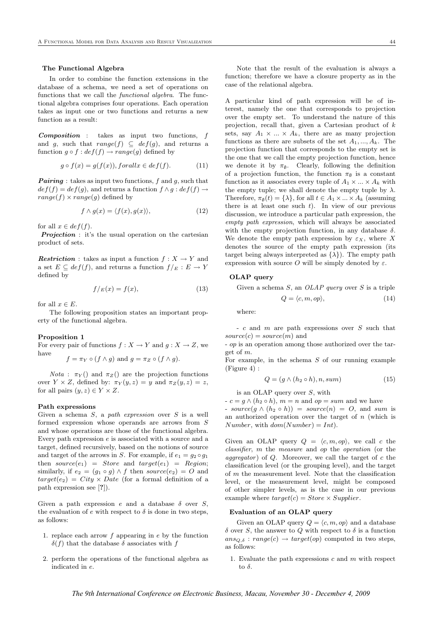# The Functional Algebra

In order to combine the function extensions in the database of a schema, we need a set of operations on functions that we call the *functional algebra*. The functional algebra comprises four operations. Each operation takes as input one or two functions and returns a new function as a result:

Composition : takes as input two functions, f and g, such that  $range(f) \subseteq def(g)$ , and returns a function  $q \circ f : def(f) \rightarrow range(q)$  defined by

$$
g \circ f(x) = g(f(x)), for all x \in def(f).
$$
 (11)

**Pairing**: takes as input two functions, f and q, such that  $def(f) = def(g)$ , and returns a function  $f \wedge g : def(f) \rightarrow$  $range(f) \times range(g)$  defined by

$$
f \wedge g(x) = \langle f(x), g(x) \rangle, \tag{12}
$$

for all  $x \in def(f)$ .

**Projection**: it's the usual operation on the cartesian product of sets.

**Restriction**: takes as input a function  $f: X \to Y$  and a set  $E \subseteq def(f)$ , and returns a function  $f/E : E \to Y$ defined by

$$
f/E(x) = f(x),\tag{13}
$$

for all  $x \in E$ .

The following proposition states an important property of the functional algebra.

# Proposition 1

For every pair of functions  $f : X \to Y$  and  $g : X \to Z$ , we have

 $f = \pi_Y \circ (f \wedge g)$  and  $g = \pi_Z \circ (f \wedge g)$ .

*Nota* :  $\pi_Y$  () and  $\pi_Z$  () are the projection functions over  $Y \times Z$ , defined by:  $\pi_Y(y, z) = y$  and  $\pi_Z(y, z) = z$ , for all pairs  $(y, z) \in Y \times Z$ .

#### Path expressions

Given a schema  $S$ , a path expression over  $S$  is a well formed expression whose operands are arrows from S and whose operations are those of the functional algebra. Every path expression e is associated with a source and a target, defined recursively, based on the notions of source and target of the arrows in S. For example, if  $e_1 = g_2 \circ g_1$ then  $source(e_1) = Store$  and  $target(e_1) = Region;$ similarly, if  $e_2 = (g_1 \circ g) \wedge f$  then source $(e_2) = O$  and  $target(e_2) = City \times Date$  (for a formal definition of a path expression see [?]).

Given a path expression e and a database  $\delta$  over  $S$ , the evaluation of e with respect to  $\delta$  is done in two steps, as follows:

- 1. replace each arrow  $f$  appearing in  $e$  by the function  $\delta(f)$  that the database  $\delta$  associates with f
- 2. perform the operations of the functional algebra as indicated in e.

Note that the result of the evaluation is always a function; therefore we have a closure property as in the case of the relational algebra.

A particular kind of path expression will be of interest, namely the one that corresponds to projection over the empty set. To understand the nature of this projection, recall that, given a Cartesian product of k sets, say  $A_1 \times ... \times A_k$ , there are as many projection functions as there are subsets of the set  $A_1, ..., A_k$ . The projection function that corresponds to the empty set is the one that we call the empty projection function, hence we denote it by  $\pi_{\emptyset}$ . Clearly, following the definition of a projection function, the function  $\pi_{\emptyset}$  is a constant function as it associates every tuple of  $A_1 \times ... \times A_k$  with the empty tuple; we shall denote the empty tuple by  $\lambda$ . Therefore,  $\pi_{\emptyset}(t) = {\lambda}$ , for all  $t \in A_1 \times ... \times A_k$  (assuming there is at least one such  $t$ ). In view of our previous discussion, we introduce a particular path expression, the empty path expression, which will always be associated with the empty projection function, in any database  $\delta$ . We denote the empty path expression by  $\varepsilon_X$ , where X denotes the source of the empty path expression (its target being always interpreted as  $\{\lambda\}$ ). The empty path expression with source O will be simply denoted by  $\varepsilon$ .

# OLAP query

Given a schema  $S$ , an *OLAP query* over  $S$  is a triple

$$
Q = \langle c, m, op \rangle,\tag{14}
$$

where:

- c and m are path expressions over S such that  $source(c) = source(m)$  and

- op is an operation among those authorized over the target of m.

For example, in the schema  $S$  of our running example (Figure 4) :

$$
Q = (g \wedge (h_2 \circ h), n, sum) \tag{15}
$$

is an OLAP query over S, with

 $-c = g \wedge (h_2 \circ h), m = n$  and  $op = sum$  and we have

- source $(g \wedge (h_2 \circ h)) = source(n) = O$ , and sum is an authorized operation over the target of  $n$  (which is Number, with  $dom(Number) = Int$ .

Given an OLAP query  $Q = \langle c, m, op \rangle$ , we call c the classifier, m the measure and op the operation (or the aggregator) of  $Q$ . Moreover, we call the target of  $c$  the classification level (or the grouping level), and the target of  $m$  the measurement level. Note that the classification level, or the measurement level, might be composed of other simpler levels, as is the case in our previous example where  $target(c) = Store \times Supplementary$ 

#### Evaluation of an OLAP query

Given an OLAP query  $Q = \langle c, m, op \rangle$  and a database  $\delta$  over S, the answer to Q with respect to  $\delta$  is a function  $ans_{Q,\delta}: range(c) \rightarrow target(op)$  computed in two steps, as follows:

1. Evaluate the path expressions  $c$  and  $m$  with respect to  $\delta$ .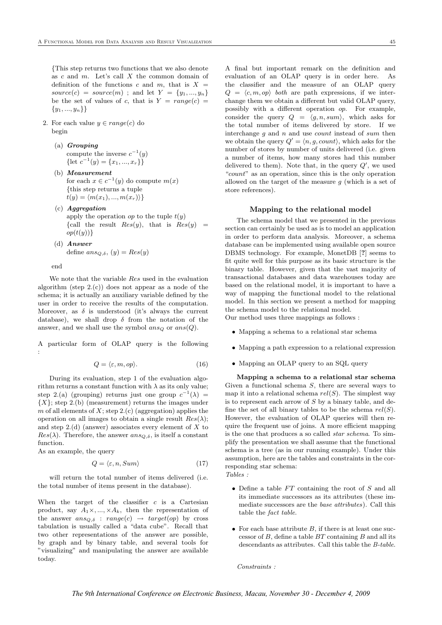{This step returns two functions that we also denote as  $c$  and  $m$ . Let's call  $X$  the common domain of definition of the functions c and m, that is  $X =$  $source(c) = source(m)$ ; and let  $Y = \{y_1, ..., y_n\}$ be the set of values of c, that is  $Y = range(c)$  $\{y_1, ..., y_n\}\}$ 

- 2. For each value  $y \in range(c)$  do begin
	- (a) Grouping compute the inverse  $c^{-1}(y)$ {let  $c^{-1}(y) = \{x_1, ..., x_r\}$ }
	- (b) Measurement for each  $x \in c^{-1}(y)$  do compute  $m(x)$ {this step returns a tuple  $t(y) = \langle m(x_1), ..., m(x_r) \rangle$
	- $(c)$  *Aggregation* apply the operation op to the tuple  $t(y)$ {call the result  $Res(y)$ , that is  $Res(y)$  =  $op(t(y))$
	- (d) Answer define  $ans_{Q,\delta}$ ,  $(y) = Res(y)$

end

We note that the variable Res used in the evaluation algorithm (step  $2.(c)$ ) does not appear as a node of the schema; it is actually an auxiliary variable defined by the user in order to receive the results of the computation. Moreover, as  $\delta$  is understood (it's always the current database), we shall drop  $\delta$  from the notation of the answer, and we shall use the symbol  $ans_Q$  or  $ans(Q)$ .

A particular form of OLAP query is the following :

$$
Q = \langle \varepsilon, m, op \rangle. \tag{16}
$$

During its evaluation, step 1 of the evaluation algorithm returns a constant function with  $\lambda$  as its only value; step 2.(a) (grouping) returns just one group  $c^{-1}(\lambda)$  =  ${X}$ ; step 2.(b) (measurement) returns the images under m of all elements of  $X$ ; step 2.(c) (aggregation) applies the operation on all images to obtain a single result  $Res(\lambda)$ ; and step  $2.(d)$  (answer) associates every element of X to  $Res(\lambda)$ . Therefore, the answer  $ans_{\Omega,\delta}$ , is itself a constant function.

As an example, the query

$$
Q = \langle \varepsilon, n, Sum \rangle \tag{17}
$$

will return the total number of items delivered (i.e. the total number of items present in the database).

When the target of the classifier  $c$  is a Cartesian product, say  $A_1 \times, ..., \times A_k$ , then the representation of the answer  $ans_{Q,\delta}$ :  $range(c) \rightarrow target(op)$  by cross tabulation is usually called a "data cube". Recall that two other representations of the answer are possible, by graph and by binary table, and several tools for "visualizing" and manipulating the answer are available today.

A final but important remark on the definition and evaluation of an OLAP query is in order here. As the classifier and the measure of an OLAP query  $Q = \langle c, m, op \rangle$  both are path expressions, if we interchange them we obtain a different but valid OLAP query, possibly with a different operation op. For example, consider the query  $Q = \langle g, n, sum \rangle$ , which asks for the total number of items delivered by store. If we interchange  $g$  and  $n$  and use *count* instead of sum then we obtain the query  $Q' = \langle n, g, count \rangle$ , which asks for the number of stores by number of units delivered (i.e. given a number of items, how many stores had this number delivered to them). Note that, in the query  $Q'$ , we used "count" as an operation, since this is the only operation allowed on the target of the measure  $g$  (which is a set of store references).

#### Mapping to the relational model

The schema model that we presented in the previous section can certainly be used as is to model an application in order to perform data analysis. Moreover, a schema database can be implemented using available open source DBMS technology. For example, MonetDB [?] seems to fit quite well for this purpose as its basic structure is the binary table. However, given that the vast majority of transactional databases and data warehouses today are based on the relational model, it is important to have a way of mapping the functional model to the relational model. In this section we present a method for mapping the schema model to the relational model.

Our method uses three mappings as follows :

- Mapping a schema to a relational star schema
- Mapping a path expression to a relational expression
- Mapping an OLAP query to an SQL query

Mapping a schema to a relational star schema Given a functional schema  $S$ , there are several ways to map it into a relational schema  $rel(S)$ . The simplest way is to represent each arrow of  $S$  by a binary table, and define the set of all binary tables to be the schema  $rel(S)$ . However, the evaluation of OLAP queries will then require the frequent use of joins. A more efficient mapping is the one that produces a so called star schema. To simplify the presentation we shall assume that the functional schema is a tree (as in our running example). Under this assumption, here are the tables and constraints in the corresponding star schema:

Tables :

- Define a table  $FT$  containing the root of  $S$  and all its immediate successors as its attributes (these immediate successors are the base attributes). Call this table the fact table.
- For each base attribute  $B$ , if there is at least one successor of  $B$ , define a table  $BT$  containing  $B$  and all its descendants as attributes. Call this table the B-table.

Constraints :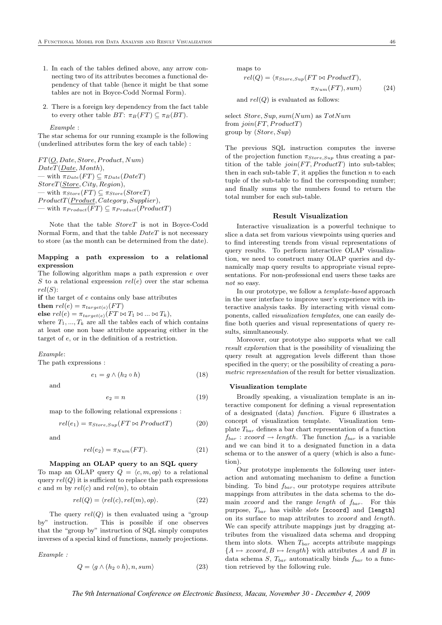- 1. In each of the tables defined above, any arrow connecting two of its attributes becomes a functional dependency of that table (hence it might be that some tables are not in Boyce-Codd Normal Form).
- 2. There is a foreign key dependency from the fact table to every other table  $BT: \pi_B(FT) \subseteq \pi_B(BT)$ .

#### Example :

The star schema for our running example is the following (underlined attributes form the key of each table) :

 $FT(O, Date, Store, Product, Num)$ DateT(Date, Month), — with  $\pi_{Date}(FT) \subseteq \pi_{Date}(DateT)$ StoreT(Store, City, Region), — with  $\pi_{Store}(FT) \subseteq \pi_{Store}(StoreT)$  $ProductT(Product, Category, Supplier),$ — with  $\pi_{Product}(FT) \subseteq \pi_{Product}(ProductT)$ 

Note that the table StoreT is not in Boyce-Codd Normal Form, and that the table  $DateT$  is not necessary to store (as the month can be determined from the date).

# Mapping a path expression to a relational expression

The following algorithm maps a path expression e over S to a relational expression  $rel(e)$  over the star schema  $rel(S)$ :

if the target of e contains only base attributes then  $rel(e) = \pi_{target(e)}(FT)$ 

else  $rel(e) = \pi_{target(e)}(FT \bowtie T_1 \bowtie ... \bowtie T_k),$ where  $T_1, ..., T_k$  are all the tables each of which contains at least one non base attribute appearing either in the

target of e, or in the definition of a restriction.

Example:

The path expressions :

$$
e_1 = g \wedge (h_2 \circ h) \tag{18}
$$

and

$$
e_2 = n \tag{19}
$$

map to the following relational expressions :

$$
rel(e_1) = \pi_{Store, Sup}(FT \bowtie ProductT) \tag{20}
$$

and

$$
rel(e_2) = \pi_{Num}(FT). \tag{21}
$$

#### Mapping an OLAP query to an SQL query

To map an OLAP query  $Q = \langle c, m, op \rangle$  to a relational query  $rel(Q)$  it is sufficient to replace the path expressions c and m by  $rel(c)$  and  $rel(m)$ , to obtain

$$
rel(Q) = \langle rel(c), rel(m), op \rangle.
$$
 (22)

The query  $rel(Q)$  is then evaluated using a "group" by" instruction. This is possible if one observes that the "group by" instruction of SQL simply computes inverses of a special kind of functions, namely projections.

Example :

$$
Q = \langle g \wedge (h_2 \circ h), n, sum \rangle \tag{23}
$$

maps to

 $rel(Q) = \langle \pi_{Store,Sup}(FT \bowtie Product),$  $\pi_{Num}(FT), sum$  (24)

and  $rel(Q)$  is evaluated as follows:

select Store,  $Sup, sum(Num)$  as  $TotNum$ from  $join(FT, ProductT)$ group by (Store, Sup)

The previous SQL instruction computes the inverse of the projection function  $\pi_{Store,Sup}$  thus creating a partition of the table  $join(FT, ProductT)$  into sub-tables; then in each sub-table  $T$ , it applies the function  $n$  to each tuple of the sub-table to find the corresponding number; and finally sums up the numbers found to return the total number for each sub-table.

#### Result Visualization

Interactive visualization is a powerful technique to slice a data set from various viewpoints using queries and to find interesting trends from visual representations of query results. To perform interactive OLAP visualization, we need to construct many OLAP queries and dynamically map query results to appropriate visual representations. For non-professional end users these tasks are not so easy.

In our prototype, we follow a template-based approach in the user interface to improve user's experience with interactive analysis tasks. By interacting with visual components, called visualization templates, one can easily define both queries and visual representations of query results, simultaneously.

Moreover, our prototype also supports what we call result exploration that is the possibility of visualizing the query result at aggregation levels different than those specified in the query; or the possibility of creating a *para*metric representation of the result for better visualization.

#### Visualization template

Broadly speaking, a visualization template is an interactive component for defining a visual representation of a designated (data) function. Figure 6 illustrates a concept of visualization template. Visualization template  $T_{bar}$  defines a bar chart representation of a function  $f_{bar}: xcoord \rightarrow length.$  The function  $f_{bar}$  is a variable and we can bind it to a designated function in a data schema or to the answer of a query (which is also a function).

Our prototype implements the following user interaction and automating mechanism to define a function binding. To bind  $f_{bar}$ , our prototype requires attribute mappings from attributes in the data schema to the domain xcoord and the range length of  $f_{bar}$ . For this purpose,  $T_{bar}$  has visible slots [xcoord] and [length] on its surface to map attributes to xcoord and length. We can specify attribute mappings just by dragging attributes from the visualized data schema and dropping them into slots. When  $T_{bar}$  accepts attribute mappings  ${A \mapsto xcoord, B \mapsto length}$  with attributes A and B in data schema S,  $T_{bar}$  automatically binds  $f_{bar}$  to a function retrieved by the following rule.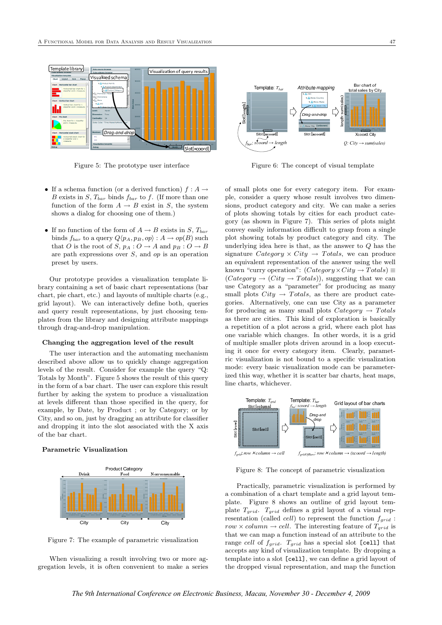

Figure 5: The prototype user interface

- If a schema function (or a derived function)  $f : A \rightarrow$ B exists in S,  $T_{bar}$  binds  $f_{bar}$  to f. (If more than one function of the form  $A \to B$  exist in S, the system shows a dialog for choosing one of them.)
- If no function of the form of  $A \rightarrow B$  exists in S,  $T_{bar}$ binds  $f_{bar}$  to a query  $Q\langle p_A, p_B, op \rangle : A \to op(B)$  such that O is the root of S,  $p_A: O \to A$  and  $p_B: O \to B$ are path expressions over  $S$ , and  $op$  is an operation preset by users.

Our prototype provides a visualization template library containing a set of basic chart representations (bar chart, pie chart, etc.) and layouts of multiple charts (e.g., grid layout). We can interactively define both, queries and query result representations, by just choosing templates from the library and designing attribute mappings through drag-and-drop manipulation.

#### Changing the aggregation level of the result

The user interaction and the automating mechanism described above allow us to quickly change aggregation levels of the result. Consider for example the query "Q: Totals by Month". Figure 5 shows the result of this query in the form of a bar chart. The user can explore this result further by asking the system to produce a visualization at levels different than those specified in the query, for example, by Date, by Product ; or by Category; or by City, and so on, just by dragging an attribute for classifier and dropping it into the slot associated with the X axis of the bar chart.

# Parametric Visualization



Figure 7: The example of parametric visualization

When visualizing a result involving two or more aggregation levels, it is often convenient to make a series



Figure 6: The concept of visual template

of small plots one for every category item. For example, consider a query whose result involves two dimensions, product category and city. We can make a series of plots showing totals by cities for each product category (as shown in Figure 7). This series of plots might convey easily information difficult to grasp from a single plot showing totals by product category and city. The underlying idea here is that, as the answer to Q has the signature Category  $\times City \rightarrow Totals$ , we can produce an equivalent representation of the answer using the well known "curry operation":  $(Categorical) \times City \rightarrow Totals$  =  $(Category \rightarrow (City \rightarrow Totals))$ , suggesting that we can use Category as a "parameter" for producing as many small plots  $City \rightarrow Totals$ , as there are product categories. Alternatively, one can use City as a parameter for producing as many small plots  $Category \rightarrow Totals$ as there are cities. This kind of exploration is basically a repetition of a plot across a grid, where each plot has one variable which changes. In other words, it is a grid of multiple smaller plots driven around in a loop executing it once for every category item. Clearly, parametric visualization is not bound to a specific visualization mode: every basic visualization mode can be parameterized this way, whether it is scatter bar charts, heat maps, line charts, whichever.



Figure 8: The concept of parametric visualization

Practically, parametric visualization is performed by a combination of a chart template and a grid layout template. Figure 8 shows an outline of grid layout template  $T_{grid}$ .  $T_{grid}$  defines a grid layout of a visual representation (called *cell*) to represent the function  $f_{grid}$ : row  $\times$  column  $\rightarrow$  cell. The interesting feature of  $T_{grid}$  is that we can map a function instead of an attribute to the range cell of  $f_{grid}$ .  $T_{grid}$  has a special slot [cell] that accepts any kind of visualization template. By dropping a template into a slot [cell], we can define a grid layout of the dropped visual representation, and map the function